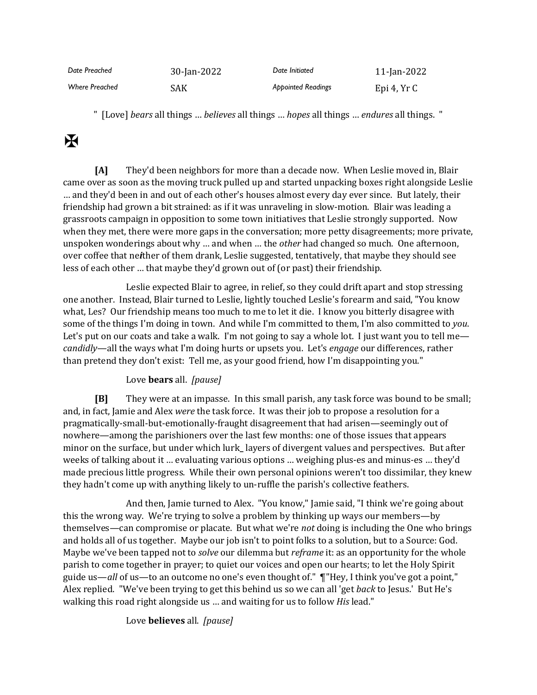| Date Preached         | 30-Jan-2022 | Date Initiated            | 11-Jan-2022 |
|-----------------------|-------------|---------------------------|-------------|
| <b>Where Preached</b> | SAK         | <b>Appointed Readings</b> | Epi 4, Yr C |

" [Love] *bears* all things … *believes* all things … *hopes* all things … *endures* all things. "

# $\mathbf K$

**[A]** They'd been neighbors for more than a decade now. When Leslie moved in, Blair came over as soon as the moving truck pulled up and started unpacking boxes right alongside Leslie … and they'd been in and out of each other's houses almost every day ever since. But lately, their friendship had grown a bit strained: as if it was unraveling in slow-motion. Blair was leading a grassroots campaign in opposition to some town initiatives that Leslie strongly supported. Now when they met, there were more gaps in the conversation; more petty disagreements; more private, unspoken wonderings about why … and when … the *other* had changed so much. One afternoon, over coffee that ne*i*ther of them drank, Leslie suggested, tentatively, that maybe they should see less of each other … that maybe they'd grown out of (or past) their friendship.

Leslie expected Blair to agree, in relief, so they could drift apart and stop stressing one another. Instead, Blair turned to Leslie, lightly touched Leslie's forearm and said, "You know what, Les? Our friendship means too much to me to let it die. I know you bitterly disagree with some of the things I'm doing in town. And while I'm committed to them, I'm also committed to *you*. Let's put on our coats and take a walk. I'm not going to say a whole lot. I just want you to tell me *candidly*—all the ways what I'm doing hurts or upsets you. Let's *engage* our differences, rather than pretend they don't exist: Tell me, as your good friend, how I'm disappointing you."

## Love **bears** all. *[pause]*

**[B]** They were at an impasse. In this small parish, any task force was bound to be small; and, in fact, Jamie and Alex *were* the task force. It was their job to propose a resolution for a pragmatically-small-but-emotionally-fraught disagreement that had arisen—seemingly out of nowhere—among the parishioners over the last few months: one of those issues that appears minor on the surface, but under which lurk**\_** layers of divergent values and perspectives. But after weeks of talking about it … evaluating various options … weighing plus-es and minus-es … they'd made precious little progress. While their own personal opinions weren't too dissimilar, they knew they hadn't come up with anything likely to un-ruffle the parish's collective feathers.

And then, Jamie turned to Alex. "You know," Jamie said, "I think we're going about this the wrong way. We're trying to solve a problem by thinking up ways our members—by themselves—can compromise or placate. But what we're *not* doing is including the One who brings and holds all of us together. Maybe our job isn't to point folks to a solution, but to a Source: God. Maybe we've been tapped not to *solve* our dilemma but *reframe* it: as an opportunity for the whole parish to come together in prayer; to quiet our voices and open our hearts; to let the Holy Spirit guide us—*all* of us—to an outcome no one's even thought of." ¶"Hey, I think you've got a point," Alex replied. "We've been trying to get this behind us so we can all 'get *back* to Jesus.' But He's walking this road right alongside us … and waiting for us to follow *His* lead."

Love **believes** all. *[pause]*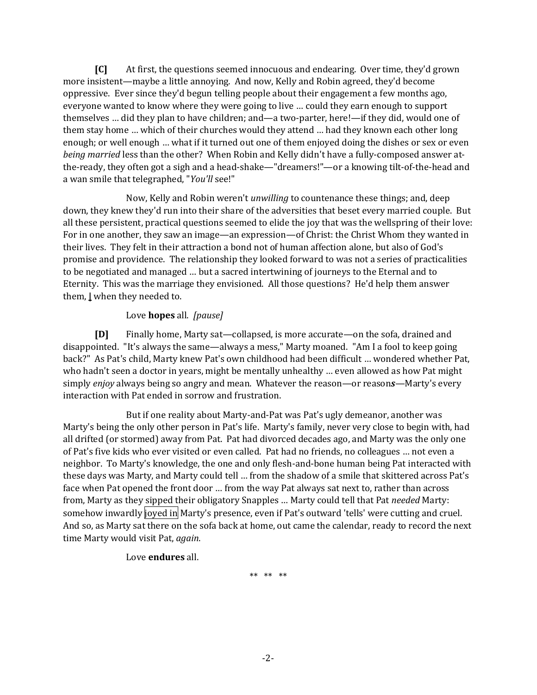**[C]** At first, the questions seemed innocuous and endearing. Over time, they'd grown more insistent—maybe a little annoying. And now, Kelly and Robin agreed, they'd become oppressive. Ever since they'd begun telling people about their engagement a few months ago, everyone wanted to know where they were going to live … could they earn enough to support themselves … did they plan to have children; and—a two-parter, here!—if they did, would one of them stay home … which of their churches would they attend … had they known each other long enough; or well enough … what if it turned out one of them enjoyed doing the dishes or sex or even *being married* less than the other? When Robin and Kelly didn't have a fully-composed answer atthe-ready, they often got a sigh and a head-shake—"dreamers!"—or a knowing tilt-of-the-head and a wan smile that telegraphed, "*You'll* see!"

Now, Kelly and Robin weren't *unwilling* to countenance these things; and, deep down, they knew they'd run into their share of the adversities that beset every married couple. But all these persistent, practical questions seemed to elide the joy that was the wellspring of their love: For in one another, they saw an image—an expression—of Christ: the Christ Whom they wanted in their lives. They felt in their attraction a bond not of human affection alone, but also of God's promise and providence. The relationship they looked forward to was not a series of practicalities to be negotiated and managed … but a sacred intertwining of journeys to the Eternal and to Eternity. This was the marriage they envisioned. All those questions? He'd help them answer them, **|** when they needed to.

#### Love **hopes** all. *[pause]*

**[D]** Finally home, Marty sat—collapsed, is more accurate—on the sofa, drained and disappointed. "It's always the same—always a mess," Marty moaned. "Am I a fool to keep going back?" As Pat's child, Marty knew Pat's own childhood had been difficult … wondered whether Pat, who hadn't seen a doctor in years, might be mentally unhealthy … even allowed as how Pat might simply *enjoy* always being so angry and mean. Whatever the reason—or reason*s*—Marty's every interaction with Pat ended in sorrow and frustration.

But if one reality about Marty-and-Pat was Pat's ugly demeanor, another was Marty's being the only other person in Pat's life. Marty's family, never very close to begin with, had all drifted (or stormed) away from Pat. Pat had divorced decades ago, and Marty was the only one of Pat's five kids who ever visited or even called. Pat had no friends, no colleagues … not even a neighbor. To Marty's knowledge, the one and only flesh-and-bone human being Pat interacted with these days was Marty, and Marty could tell … from the shadow of a smile that skittered across Pat's face when Pat opened the front door … from the way Pat always sat next to, rather than across from, Marty as they sipped their obligatory Snapples … Marty could tell that Pat *needed* Marty: somehow inwardly joyed in Marty's presence, even if Pat's outward 'tells' were cutting and cruel. And so, as Marty sat there on the sofa back at home, out came the calendar, ready to record the next time Marty would visit Pat, *again*.

## Love **endures** all.

\*\* \*\* \*\*